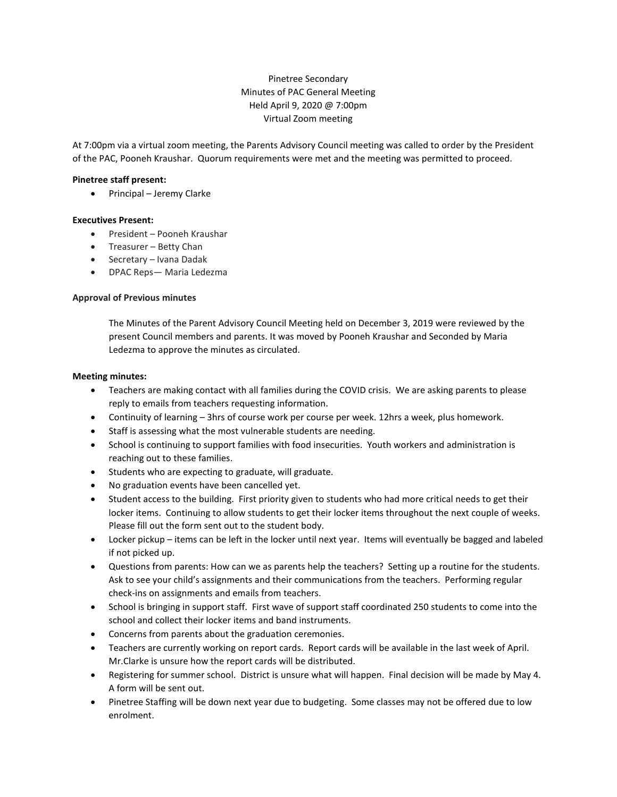# Pinetree Secondary Minutes of PAC General Meeting Held April 9, 2020 @ 7:00pm Virtual Zoom meeting

At 7:00pm via a virtual zoom meeting, the Parents Advisory Council meeting was called to order by the President of the PAC, Pooneh Kraushar. Quorum requirements were met and the meeting was permitted to proceed.

# **Pinetree staff present:**

• Principal – Jeremy Clarke

# **Executives Present:**

- President Pooneh Kraushar
- Treasurer Betty Chan
- Secretary Ivana Dadak
- DPAC Reps— Maria Ledezma

### **Approval of Previous minutes**

The Minutes of the Parent Advisory Council Meeting held on December 3, 2019 were reviewed by the present Council members and parents. It was moved by Pooneh Kraushar and Seconded by Maria Ledezma to approve the minutes as circulated.

### **Meeting minutes:**

- Teachers are making contact with all families during the COVID crisis. We are asking parents to please reply to emails from teachers requesting information.
- Continuity of learning 3hrs of course work per course per week. 12hrs a week, plus homework.
- Staff is assessing what the most vulnerable students are needing.
- School is continuing to support families with food insecurities. Youth workers and administration is reaching out to these families.
- Students who are expecting to graduate, will graduate.
- No graduation events have been cancelled yet.
- Student access to the building. First priority given to students who had more critical needs to get their locker items. Continuing to allow students to get their locker items throughout the next couple of weeks. Please fill out the form sent out to the student body.
- Locker pickup items can be left in the locker until next year. Items will eventually be bagged and labeled if not picked up.
- Questions from parents: How can we as parents help the teachers? Setting up a routine for the students. Ask to see your child's assignments and their communications from the teachers. Performing regular check-ins on assignments and emails from teachers.
- School is bringing in support staff. First wave of support staff coordinated 250 students to come into the school and collect their locker items and band instruments.
- Concerns from parents about the graduation ceremonies.
- Teachers are currently working on report cards. Report cards will be available in the last week of April. Mr.Clarke is unsure how the report cards will be distributed.
- Registering for summer school. District is unsure what will happen. Final decision will be made by May 4. A form will be sent out.
- Pinetree Staffing will be down next year due to budgeting. Some classes may not be offered due to low enrolment.